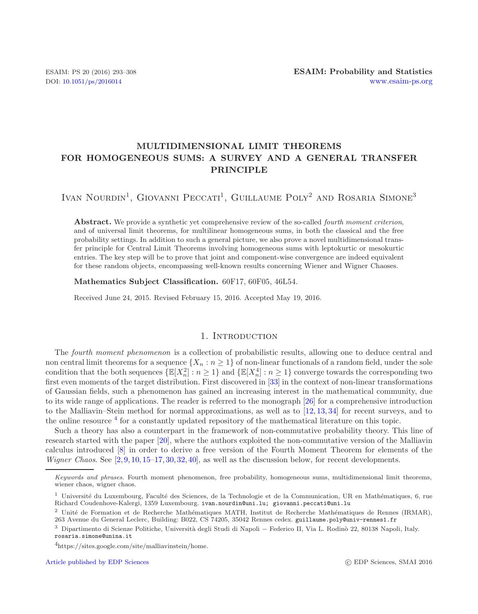# **MULTIDIMENSIONAL LIMIT THEOREMS FOR HOMOGENEOUS SUMS: A SURVEY AND A GENERAL TRANSFER PRINCIPLE**

IVAN NOURDIN<sup>1</sup>, GIOVANNI PECCATI<sup>1</sup>, GUILLAUME POLY<sup>2</sup> AND ROSARIA SIMONE<sup>3</sup>

**Abstract.** We provide a synthetic yet comprehensive review of the so-called *fourth moment criterion*, and of universal limit theorems, for multilinear homogeneous sums, in both the classical and the free probability settings. In addition to such a general picture, we also prove a novel multidimensional transfer principle for Central Limit Theorems involving homogeneous sums with leptokurtic or mesokurtic entries. The key step will be to prove that joint and component-wise convergence are indeed equivalent for these random objects, encompassing well-known results concerning Wiener and Wigner Chaoses.

**Mathematics Subject Classification.** 60F17, 60F05, 46L54.

Received June 24, 2015. Revised February 15, 2016. Accepted May 19, 2016.

## 1. INTRODUCTION

The *fourth moment phenomenon* is a collection of probabilistic results, allowing one to deduce central and non central limit theorems for a sequence  $\{X_n : n \geq 1\}$  of non-linear functionals of a random field, under the sole condition that the both sequences  $\{\mathbb{E}[X_n^2] : n \geq 1\}$  and  $\{\mathbb{E}[X_n^4] : n \geq 1\}$  converge towards the corresponding two first even moments of the target distribution. First discovered in [\[33](#page-15-0)] in the context of non-linear transformations of Gaussian fields, such a phenomenon has gained an increasing interest in the mathematical community, due to its wide range of applications. The reader is referred to the monograph [\[26](#page-15-1)] for a comprehensive introduction to the Malliavin–Stein method for normal approximations, as well as to [\[12,](#page-14-0) [13,](#page-14-1) [34\]](#page-15-2) for recent surveys, and to the online resource <sup>[4](#page-0-0)</sup> for a constantly updated repository of the mathematical literature on this topic.

<span id="page-0-0"></span>Such a theory has also a counterpart in the framework of non-commutative probability theory. This line of research started with the paper [\[20](#page-14-2)], where the authors exploited the non-commutative version of the Malliavin calculus introduced [\[8\]](#page-14-3) in order to derive a free version of the Fourth Moment Theorem for elements of the *Wigner Chaos.* See [\[2](#page-14-4), [9](#page-14-5), [10,](#page-14-6) [15](#page-14-7)[–17](#page-14-8), [30,](#page-15-3) [32,](#page-15-4) [40\]](#page-15-5), as well as the discussion below, for recent developments.

*Keywords and phrases.* Fourth moment phenomenon, free probability, homogeneous sums, multidimensional limit theorems, wiener chaos, wigner chaos.

 $1$  Université du Luxembourg, Faculté des Sciences, de la Technologie et de la Communication, UR en Mathématiques, 6, rue Richard Coudenhove-Kalergi, 1359 Luxembourg. ivan.nourdin@uni.lu; giovanni.peccati@uni.lu

<sup>&</sup>lt;sup>2</sup> Unité de Formation et de Recherche Mathématiques MATH, Institut de Recherche Mathématiques de Rennes (IRMAR), 263 Avenue du General Leclerc, Building: B022, CS 74205, 35042 Rennes cedex. guillaume.poly@univ-rennes1.fr

<sup>&</sup>lt;sup>3</sup> Dipartimento di Scienze Politiche, Università degli Studi di Napoli − Federico II, Via L. Rodinò 22, 80138 Napoli, Italy. rosaria.simone@unina.it

<sup>4</sup>https://sites.google.com/site/malliavinstein/home.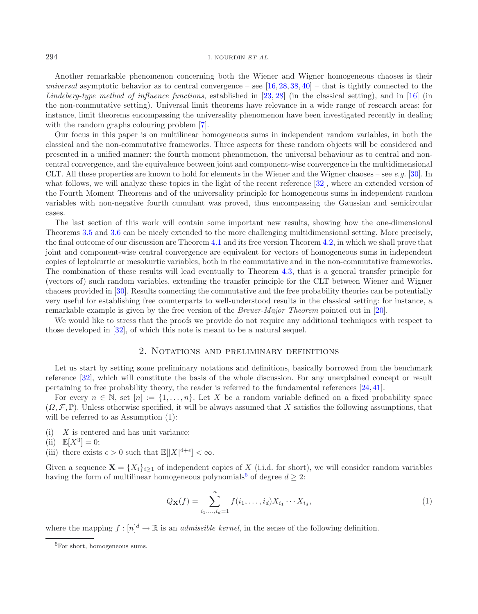#### 294 I. NOURDIN *ET AL.*

Another remarkable phenomenon concerning both the Wiener and Wigner homogeneous chaoses is their *universal* asymptotic behavior as to central convergence – see  $[16, 28, 38, 40]$  $[16, 28, 38, 40]$  $[16, 28, 38, 40]$  $[16, 28, 38, 40]$  $[16, 28, 38, 40]$  $[16, 28, 38, 40]$  $[16, 28, 38, 40]$  – that is tightly connected to the *Lindeberg-type method of influence functions*, established in [\[23](#page-14-10), [28\]](#page-15-6) (in the classical setting), and in [\[16\]](#page-14-9) (in the non-commutative setting). Universal limit theorems have relevance in a wide range of research areas: for instance, limit theorems encompassing the universality phenomenon have been investigated recently in dealing with the random graphs colouring problem [\[7](#page-14-11)].

Our focus in this paper is on multilinear homogeneous sums in independent random variables, in both the classical and the non-commutative frameworks. Three aspects for these random objects will be considered and presented in a unified manner: the fourth moment phenomenon, the universal behaviour as to central and noncentral convergence, and the equivalence between joint and component-wise convergence in the multidimensional CLT. All these properties are known to hold for elements in the Wiener and the Wigner chaoses – see *e.g.* [\[30](#page-15-3)]. In what follows, we will analyze these topics in the light of the recent reference [\[32\]](#page-15-4), where an extended version of the Fourth Moment Theorems and of the universality principle for homogeneous sums in independent random variables with non-negative fourth cumulant was proved, thus encompassing the Gaussian and semicircular cases.

The last section of this work will contain some important new results, showing how the one-dimensional Theorems [3.5](#page-5-0) and [3.6](#page-5-1) can be nicely extended to the more challenging multidimensional setting. More precisely, the final outcome of our discussion are Theorem [4.1](#page-12-0) and its free version Theorem [4.2,](#page-12-1) in which we shall prove that joint and component-wise central convergence are equivalent for vectors of homogeneous sums in independent copies of leptokurtic or mesokurtic variables, both in the commutative and in the non-commutative frameworks. The combination of these results will lead eventually to Theorem [4.3,](#page-13-0) that is a general transfer principle for (vectors of) such random variables, extending the transfer principle for the CLT between Wiener and Wigner chaoses provided in [\[30](#page-15-3)]. Results connecting the commutative and the free probability theories can be potentially very useful for establishing free counterparts to well-understood results in the classical setting: for instance, a remarkable example is given by the free version of the *Breuer-Major Theorem* pointed out in [\[20\]](#page-14-2).

We would like to stress that the proofs we provide do not require any additional techniques with respect to those developed in [\[32\]](#page-15-4), of which this note is meant to be a natural sequel.

## 2. Notations and preliminary definitions

Let us start by setting some preliminary notations and definitions, basically borrowed from the benchmark reference [\[32](#page-15-4)], which will constitute the basis of the whole discussion. For any unexplained concept or result pertaining to free probability theory, the reader is referred to the fundamental references [\[24](#page-14-12), [41](#page-15-8)].

For every  $n \in \mathbb{N}$ , set  $[n] := \{1, \ldots, n\}$ . Let X be a random variable defined on a fixed probability space  $(\Omega, \mathcal{F}, \mathbb{P})$ . Unless otherwise specified, it will be always assumed that X satisfies the following assumptions, that will be referred to as Assumption  $(1)$ :

- <span id="page-1-0"></span> $(i)$  X is centered and has unit variance;
- (ii)  $\mathbb{E}[X^3] = 0;$
- (iii) there exists  $\epsilon > 0$  such that  $\mathbb{E}[|X|^{4+\epsilon}] < \infty$ .

Given a sequence  $\mathbf{X} = \{X_i\}_{i\geq 1}$  of independent copies of X (i.i.d. for short), we will consider random variables having the form of multilinear homogeneous polynomials<sup>[5](#page-1-0)</sup> of degree  $d \geq 2$ :

<span id="page-1-1"></span>
$$
Q_{\mathbf{X}}(f) = \sum_{i_1,\dots,i_d=1}^n f(i_1,\dots,i_d) X_{i_1} \cdots X_{i_d},
$$
\n(1)

where the mapping  $f : [n]^d \to \mathbb{R}$  is an *admissible kernel*, in the sense of the following definition.

<sup>&</sup>lt;sup>5</sup>For short, homogeneous sums.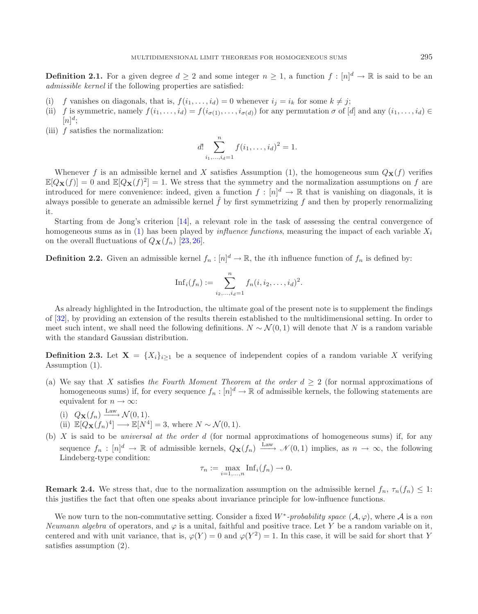<span id="page-2-1"></span>**Definition 2.1.** For a given degree  $d \geq 2$  and some integer  $n \geq 1$ , a function  $f : [n]^d \to \mathbb{R}$  is said to be an *admissible kernel* if the following properties are satisfied:

- (i) f vanishes on diagonals, that is,  $f(i_1,...,i_d) = 0$  whenever  $i_j = i_k$  for some  $k \neq j$ ;
- (ii) f is symmetric, namely  $f(i_1,\ldots,i_d) = f(i_{\sigma(1)},\ldots,i_{\sigma(d)})$  for any permutation  $\sigma$  of [d] and any  $(i_1,\ldots,i_d)$  $[n]^d;$
- (iii)  $f$  satisfies the normalization:

$$
d! \sum_{i_1,\dots,i_d=1}^n f(i_1,\dots,i_d)^2 = 1.
$$

Whenever f is an admissible kernel and X satisfies Assumption (1), the homogeneous sum  $Q_{\bf X}(f)$  verifies  $\mathbb{E}[Q_{\mathbf{X}}(f)] = 0$  and  $\mathbb{E}[Q_{\mathbf{X}}(f)^2] = 1$ . We stress that the symmetry and the normalization assumptions on f are introduced for mere convenience: indeed, given a function  $f : [n]^d \to \mathbb{R}$  that is vanishing on diagonals, it is always possible to generate an admissible kernel  $f$  by first symmetrizing  $f$  and then by properly renormalizing it.

Starting from de Jong's criterion [\[14](#page-14-13)], a relevant role in the task of assessing the central convergence of homogeneous sums as in  $(1)$  has been played by *influence functions*, measuring the impact of each variable  $X_i$ on the overall fluctuations of  $Q_{\mathbf{X}}(f_n)$  [\[23,](#page-14-10) [26\]](#page-15-1).

**Definition 2.2.** Given an admissible kernel  $f_n : [n]^d \to \mathbb{R}$ , the *i*th influence function of  $f_n$  is defined by:

Inf<sub>i</sub>(
$$
f_n
$$
) :=  $\sum_{i_2,...,i_d=1}^n f_n(i, i_2,..., i_d)^2$ .

As already highlighted in the Introduction, the ultimate goal of the present note is to supplement the findings of [\[32\]](#page-15-4), by providing an extension of the results therein established to the multidimensional setting. In order to meet such intent, we shall need the following definitions.  $N \sim \mathcal{N}(0, 1)$  will denote that N is a random variable with the standard Gaussian distribution.

<span id="page-2-0"></span>**Definition 2.3.** Let  $X = \{X_i\}_{i\geq 1}$  be a sequence of independent copies of a random variable X verifying Assumption (1).

- (a) We say that X satisfies *the Fourth Moment Theorem at the order*  $d \geq 2$  (for normal approximations of homogeneous sums) if, for every sequence  $f_n : [n]^d \to \mathbb{R}$  of admissible kernels, the following statements are equivalent for  $n \to \infty$ :
	- (i)  $Q_{\mathbf{X}}(f_n) \xrightarrow{\text{Law}} \mathcal{N}(0, 1).$
	- (ii)  $\mathbb{E}[Q_{\mathbf{X}}(f_n)^4] \longrightarrow \mathbb{E}[N^4] = 3$ , where  $N \sim \mathcal{N}(0, 1)$ .
- (b) X is said to be *universal at the order* d (for normal approximations of homogeneous sums) if, for any sequence  $f_n : [n]^d \to \mathbb{R}$  of admissible kernels,  $Q_{\mathbf{X}}(f_n) \xrightarrow{\text{Law}} \mathcal{N}(0,1)$  implies, as  $n \to \infty$ , the following Lindeberg-type condition:

$$
\tau_n := \max_{i=1,\dots,n} \text{Inf}_i(f_n) \to 0.
$$

**Remark 2.4.** We stress that, due to the normalization assumption on the admissible kernel  $f_n$ ,  $\tau_n(f_n) \leq 1$ : this justifies the fact that often one speaks about invariance principle for low-influence functions.

We now turn to the non-commutative setting. Consider a fixed  $W^*$ -probability space  $(\mathcal{A}, \varphi)$ , where  $\mathcal{A}$  is a *von Neumann algebra* of operators, and  $\varphi$  is a unital, faithful and positive trace. Let Y be a random variable on it, centered and with unit variance, that is,  $\varphi(Y) = 0$  and  $\varphi(Y^2) = 1$ . In this case, it will be said for short that Y satisfies assumption (2).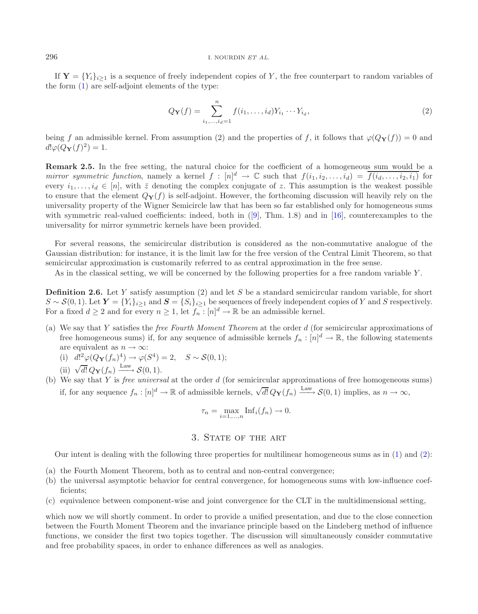If  $\mathbf{Y} = \{Y_i\}_{i\geq 1}$  is a sequence of freely independent copies of Y, the free counterpart to random variables of the form [\(1\)](#page-1-1) are self-adjoint elements of the type:

<span id="page-3-0"></span>
$$
Q_{\mathbf{Y}}(f) = \sum_{i_1,\dots,i_d=1}^n f(i_1,\dots,i_d) Y_{i_1} \cdots Y_{i_d},
$$
\n(2)

being f an admissible kernel. From assumption (2) and the properties of f, it follows that  $\varphi(Q_Y(f)) = 0$  and  $d! \varphi(Q_{\mathbf{Y}}(f)^2) = 1.$ 

**Remark 2.5.** In the free setting, the natural choice for the coefficient of a homogeneous sum would be a *mirror symmetric function*, namely a kernel  $f : [n]^d \to \mathbb{C}$  such that  $f(i_1, i_2, \ldots, i_d) = \overline{f(i_d, \ldots, i_2, i_1)}$  for every  $i_1,\ldots,i_d \in [n]$ , with  $\bar{z}$  denoting the complex conjugate of z. This assumption is the weakest possible to ensure that the element  $Q_Y(f)$  is self-adjoint. However, the forthcoming discussion will heavily rely on the universality property of the Wigner Semicircle law that has been so far established only for homogeneous sums with symmetric real-valued coefficients: indeed, both in  $(9]$ , Thm. 1.8) and in [\[16](#page-14-9)], counterexamples to the universality for mirror symmetric kernels have been provided.

For several reasons, the semicircular distribution is considered as the non-commutative analogue of the Gaussian distribution: for instance, it is the limit law for the free version of the Central Limit Theorem, so that semicircular approximation is customarily referred to as central approximation in the free sense.

As in the classical setting, we will be concerned by the following properties for a free random variable Y.

<span id="page-3-1"></span>**Definition 2.6.** Let Y satisfy assumption (2) and let S be a standard semicircular random variable, for short  $S \sim \mathcal{S}(0,1)$ . Let  $\boldsymbol{Y} = \{Y_i\}_{i\geq 1}$  and  $\boldsymbol{S} = \{S_i\}_{i\geq 1}$  be sequences of freely independent copies of Y and S respectively. For a fixed  $d \geq 2$  and for every  $n \geq 1$ , let  $f_n : [n]^d \to \mathbb{R}$  be an admissible kernel.

- (a) We say that Y satisfies the *free Fourth Moment Theorem* at the order d (for semicircular approximations of free homogeneous sums) if, for any sequence of admissible kernels  $f_n : [n]^d \to \mathbb{R}$ , the following statements are equivalent as  $n \to \infty$ :
	- (i)  $d!^2\varphi(Q_{\mathbf{Y}}(f_n)^4) \to \varphi(S^4) = 2, \quad S \sim \mathcal{S}(0, 1);$
	- (ii)  $\sqrt{d!} Q_{\mathbf{Y}}(f_n) \xrightarrow{\text{Law}} \mathcal{S}(0, 1).$
- (b) We say that Y is *free universal* at the order d (for semicircular approximations of free homogeneous sums) if, for any sequence  $f_n : [n]^d \to \mathbb{R}$  of admissible kernels,  $\sqrt{d!} Q_{\mathbf{Y}}(f_n) \xrightarrow{\text{Law}} \mathcal{S}(0, 1)$  implies, as  $n \to \infty$ ,

$$
\tau_n = \max_{i=1,\dots,n} \text{Inf}_i(f_n) \to 0.
$$

### 3. STATE OF THE ART

Our intent is dealing with the following three properties for multilinear homogeneous sums as in [\(1\)](#page-1-1) and [\(2\)](#page-3-0):

- (a) the Fourth Moment Theorem, both as to central and non-central convergence;
- (b) the universal asymptotic behavior for central convergence, for homogeneous sums with low-influence coefficients;
- (c) equivalence between component-wise and joint convergence for the CLT in the multidimensional setting,

which now we will shortly comment. In order to provide a unified presentation, and due to the close connection between the Fourth Moment Theorem and the invariance principle based on the Lindeberg method of influence functions, we consider the first two topics together. The discussion will simultaneously consider commutative and free probability spaces, in order to enhance differences as well as analogies.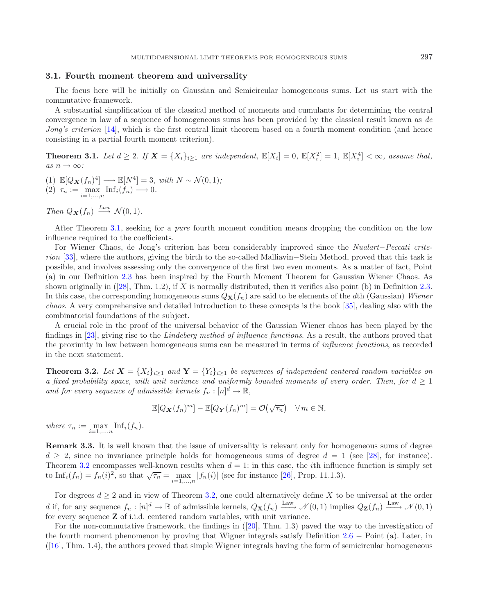#### **3.1. Fourth moment theorem and universality**

The focus here will be initially on Gaussian and Semicircular homogeneous sums. Let us start with the commutative framework.

A substantial simplification of the classical method of moments and cumulants for determining the central convergence in law of a sequence of homogeneous sums has been provided by the classical result known as *de Jong's criterion* [\[14](#page-14-13)], which is the first central limit theorem based on a fourth moment condition (and hence consisting in a partial fourth moment criterion).

<span id="page-4-0"></span>**Theorem 3.1.** Let  $d \geq 2$ . If  $\mathbf{X} = \{X_i\}_{i\geq 1}$  are independent,  $\mathbb{E}[X_i] = 0$ ,  $\mathbb{E}[X_i^2] = 1$ ,  $\mathbb{E}[X_i^4] < \infty$ , assume that,  $as\ n \to \infty$ *:* 

(1)  $\mathbb{E}[Q_{\mathbf{X}}(f_n)^4] \longrightarrow \mathbb{E}[N^4] = 3$ *, with*  $N \sim \mathcal{N}(0, 1)$ *;* (2)  $\tau_n := \max_{i=1,\dots,n} \text{Inf}_i(f_n) \longrightarrow 0.$ 

*Then*  $Q_{\mathbf{X}}(f_n) \stackrel{Law}{\longrightarrow} \mathcal{N}(0,1)$ *.* 

After Theorem [3.1,](#page-4-0) seeking for a *pure* fourth moment condition means dropping the condition on the low influence required to the coefficients.

For Wiener Chaos, de Jong's criterion has been considerably improved since the *Nualart*−*Peccati criterion* [\[33](#page-15-0)], where the authors, giving the birth to the so-called Malliavin–Stein Method, proved that this task is possible, and involves assessing only the convergence of the first two even moments. As a matter of fact, Point (a) in our Definition [2.3](#page-2-0) has been inspired by the Fourth Moment Theorem for Gaussian Wiener Chaos. As shown originally in ([\[28\]](#page-15-6), Thm. 1.2), if X is normally distributed, then it verifies also point (b) in Definition [2.3.](#page-2-0) In this case, the corresponding homogeneous sums  $Q_{\mathbf{X}}(f_n)$  are said to be elements of the dth (Gaussian) *Wiener chaos*. A very comprehensive and detailed introduction to these concepts is the book [\[35\]](#page-15-9), dealing also with the combinatorial foundations of the subject.

A crucial role in the proof of the universal behavior of the Gaussian Wiener chaos has been played by the findings in [\[23](#page-14-10)], giving rise to the *Lindeberg method of influence functions*. As a result, the authors proved that the proximity in law between homogeneous sums can be measured in terms of *influence functions*, as recorded in the next statement.

<span id="page-4-1"></span>**Theorem 3.2.** *Let*  $X = \{X_i\}_{i\geq 1}$  *and*  $Y = \{Y_i\}_{i\geq 1}$  *be sequences of independent centered random variables on a fixed probability space, with unit variance and uniformly bounded moments of every order. Then, for*  $d \geq 1$ and for every sequence of admissible kernels  $f_n : [n]^d \to \mathbb{R}$ ,

$$
\mathbb{E}[Q_{\mathbf{X}}(f_n)^m] - \mathbb{E}[Q_{\mathbf{Y}}(f_n)^m] = \mathcal{O}(\sqrt{\tau_n}) \quad \forall m \in \mathbb{N},
$$

where  $\tau_n := \max_{i=1,\dots,n} \text{Inf}_i(f_n)$ .

**Remark 3.3.** It is well known that the issue of universality is relevant only for homogeneous sums of degree  $d \geq 2$ , since no invariance principle holds for homogeneous sums of degree  $d = 1$  (see [\[28\]](#page-15-6), for instance). Theorem [3.2](#page-4-1) encompasses well-known results when  $d = 1$ : in this case, the *i*th influence function is simply set to Inf<sub>i</sub>(f<sub>n</sub>) = f<sub>n</sub>(i)<sup>2</sup>, so that  $\sqrt{\tau_n} = \max_{i=1,\dots,n} |f_n(i)|$  (see for instance [\[26](#page-15-1)], Prop. 11.1.3).

For degrees  $d \geq 2$  and in view of Theorem [3.2,](#page-4-1) one could alternatively define X to be universal at the order d if, for any sequence  $f_n: [n]^d \to \mathbb{R}$  of admissible kernels,  $Q_{\mathbf{X}}(f_n) \xrightarrow{\text{Law}} \mathcal{N}(0,1)$  implies  $Q_{\mathbf{Z}}(f_n) \xrightarrow{\text{Law}} \mathcal{N}(0,1)$ for every sequence **Z** of i.i.d. centered random variables, with unit variance.

For the non-commutative framework, the findings in ([\[20](#page-14-2)], Thm. 1.3) paved the way to the investigation of the fourth moment phenomenon by proving that Wigner integrals satisfy Definition [2.6](#page-3-1) − Point (a). Later, in  $([16], Thm. 1.4)$  $([16], Thm. 1.4)$  $([16], Thm. 1.4)$ , the authors proved that simple Wigner integrals having the form of semicircular homogeneous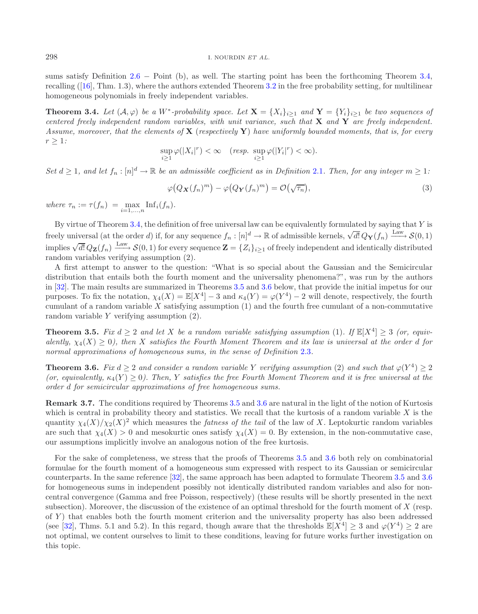sums satisfy Definition  $2.6$  – Point (b), as well. The starting point has been the forthcoming Theorem [3.4,](#page-5-2) recalling ([\[16](#page-14-9)], Thm. 1.3), where the authors extended Theorem [3.2](#page-4-1) in the free probability setting, for multilinear homogeneous polynomials in freely independent variables.

<span id="page-5-2"></span>**Theorem 3.4.** Let  $(A, \varphi)$  be a W<sup>\*</sup>-probability space. Let  $\mathbf{X} = \{X_i\}_{i\geq 1}$  and  $\mathbf{Y} = \{Y_i\}_{i\geq 1}$  be two sequences of *centered freely independent random variables, with unit variance, such that* **X** *and* **Y** *are freely independent. Assume, moreover, that the elements of* **X** (*respectively* **Y**) *have uniformly bounded moments, that is, for every*  $r > 1$ *:* 

$$
\sup_{i\geq 1}\varphi(|X_i|^r) < \infty \quad (resp. \ \sup_{i\geq 1}\varphi(|Y_i|^r) < \infty).
$$

*Set*  $d \geq 1$ , and let  $f_n : [n]^d \to \mathbb{R}$  be an admissible coefficient as in Definition [2.1](#page-2-1). Then, for any integer  $m \geq 1$ .

$$
\varphi\big(Q_{\mathbf{X}}(f_n)^m\big) - \varphi\big(Q_{\mathbf{Y}}(f_n)^m\big) = \mathcal{O}\big(\sqrt{\tau_n}\big),\tag{3}
$$

*where*  $\tau_n := \tau(f_n) = \max_{i=1,...,n} \text{Inf}_i(f_n)$ *.* 

By virtue of Theorem [3.4,](#page-5-2) the definition of free universal law can be equivalently formulated by saying that  $Y$  is freely universal (at the order d) if, for any sequence  $f_n : [n]^d \to \mathbb{R}$  of admissible kernels,  $\sqrt{d!} Q_{\mathbf{Y}}(f_n) \xrightarrow{\text{Law}} \mathcal{S}(0, 1)$ implies  $\sqrt{d!}Q_{\mathbf{Z}}(f_n) \xrightarrow{\text{Law}} \mathcal{S}(0,1)$  for every sequence  $\mathbf{Z} = \{Z_i\}_{i\geq 1}$  of freely independent and identically distributed random variables verifying assumption (2).

A first attempt to answer to the question: "What is so special about the Gaussian and the Semicircular distribution that entails both the fourth moment and the universality phenomena?", was run by the authors in [\[32\]](#page-15-4). The main results are summarized in Theorems [3.5](#page-5-0) and [3.6](#page-5-1) below, that provide the initial impetus for our purposes. To fix the notation,  $\chi_4(X) = \mathbb{E}[X^4] - 3$  and  $\kappa_4(Y) = \varphi(Y^4) - 2$  will denote, respectively, the fourth cumulant of a random variable  $X$  satisfying assumption  $(1)$  and the fourth free cumulant of a non-commutative random variable Y verifying assumption (2).

<span id="page-5-0"></span>**Theorem 3.5.** *Fix*  $d \geq 2$  *and let* X *be a random variable satisfying assumption* (1)*.* If  $\mathbb{E}[X^4] \geq 3$  *(or, equivalently,*  $\chi_4(X) \geq 0$ , then X satisfies the Fourth Moment Theorem and its law is universal at the order d for *normal approximations of homogeneous sums, in the sense of Definition* [2.3](#page-2-0)*.*

<span id="page-5-1"></span>**Theorem 3.6.** *Fix*  $d > 2$  *and consider a random variable* Y *verifying assumption* (2) *and such that*  $\varphi(Y^4) > 2$  $(or, equivalently, \kappa_A(Y) \geq 0)$ . Then, Y satisfies the free Fourth Moment Theorem and it is free universal at the *order* d *for semicircular approximations of free homogeneous sums.*

**Remark 3.7.** The conditions required by Theorems [3.5](#page-5-0) and [3.6](#page-5-1) are natural in the light of the notion of Kurtosis which is central in probability theory and statistics. We recall that the kurtosis of a random variable  $X$  is the quantity  $\chi_4(X)/\chi_2(X)^2$  which measures the *fatness of the tail* of the law of X. Leptokurtic random variables are such that  $\chi_4(X) > 0$  and mesokurtic ones satisfy  $\chi_4(X) = 0$ . By extension, in the non-commutative case, our assumptions implicitly involve an analogous notion of the free kurtosis.

For the sake of completeness, we stress that the proofs of Theorems [3.5](#page-5-0) and [3.6](#page-5-1) both rely on combinatorial formulae for the fourth moment of a homogeneous sum expressed with respect to its Gaussian or semicircular counterparts. In the same reference [\[32](#page-15-4)], the same approach has been adapted to formulate Theorem [3.5](#page-5-0) and [3.6](#page-5-1) for homogeneous sums in independent possibly not identically distributed random variables and also for noncentral convergence (Gamma and free Poisson, respectively) (these results will be shortly presented in the next subsection). Moreover, the discussion of the existence of an optimal threshold for the fourth moment of X (resp. of Y ) that enables both the fourth moment criterion and the universality property has also been addressed (see [\[32\]](#page-15-4), Thms. 5.1 and 5.2). In this regard, though aware that the thresholds  $\mathbb{E}[X^4] \geq 3$  and  $\varphi(Y^4) \geq 2$  are not optimal, we content ourselves to limit to these conditions, leaving for future works further investigation on this topic.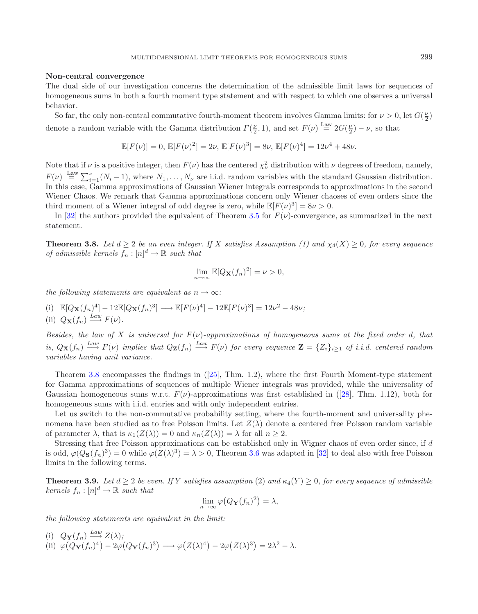#### **Non-central convergence**

The dual side of our investigation concerns the determination of the admissible limit laws for sequences of homogeneous sums in both a fourth moment type statement and with respect to which one observes a universal behavior.

So far, the only non-central commutative fourth-moment theorem involves Gamma limits: for  $\nu > 0$ , let  $G(\frac{\nu}{2})$ denote a random variable with the Gamma distribution  $\Gamma(\frac{\nu}{2}, 1)$ , and set  $F(\nu) \stackrel{\text{Law}}{=} 2G(\frac{\nu}{2}) - \nu$ , so that

$$
\mathbb{E}[F(\nu)] = 0, \mathbb{E}[F(\nu)^2] = 2\nu, \mathbb{E}[F(\nu)^3] = 8\nu, \mathbb{E}[F(\nu)^4] = 12\nu^4 + 48\nu.
$$

Note that if  $\nu$  is a positive integer, then  $F(\nu)$  has the centered  $\chi^2_{\nu}$  distribution with  $\nu$  degrees of freedom, namely,  $F(\nu) \stackrel{\text{Law}}{=} \sum_{i=1}^{\nu} (N_i - 1)$ , where  $N_1, \ldots, N_{\nu}$  are i.i.d. random variables with the standard Gaussian distribution. In this case, Gamma approximations of Gaussian Wiener integrals corresponds to approximations in the second Wiener Chaos. We remark that Gamma approximations concern only Wiener chaoses of even orders since the third moment of a Wiener integral of odd degree is zero, while  $\mathbb{E}[F(\nu)^3]=8\nu>0$ .

<span id="page-6-0"></span>In [\[32](#page-15-4)] the authors provided the equivalent of Theorem [3.5](#page-5-0) for  $F(\nu)$ -convergence, as summarized in the next statement.

**Theorem 3.8.** *Let*  $d \geq 2$  *be an even integer. If* X *satisfies Assumption (1) and*  $\chi_4(X) \geq 0$ *, for every sequence of admissible kernels*  $f_n : [n]^d \to \mathbb{R}$  *such that* 

$$
\lim_{n \to \infty} \mathbb{E}[Q_{\mathbf{X}}(f_n)^2] = \nu > 0,
$$

*the following statements are equivalent as*  $n \rightarrow \infty$ *:* 

(i)  $\mathbb{E}[Q_{\mathbf{X}}(f_n)^4] - 12\mathbb{E}[Q_{\mathbf{X}}(f_n)^3] \longrightarrow \mathbb{E}[F(\nu)^4] - 12\mathbb{E}[F(\nu)^3] = 12\nu^2 - 48\nu;$ (ii)  $Q_{\mathbf{X}}(f_n) \xrightarrow{Law} F(\nu)$ .

*Besides, the law of* X *is universal for*  $F(\nu)$ -approximations of homogeneous sums at the fixed order d, that *is,*  $Q_{\mathbf{X}}(f_n) \stackrel{Law}{\longrightarrow} F(\nu)$  *implies that*  $Q_{\mathbf{Z}}(f_n) \stackrel{Law}{\longrightarrow} F(\nu)$  *for every sequence*  $\mathbf{Z} = \{Z_i\}_{i\geq 1}$  *of i.i.d. centered random variables having unit variance.*

Theorem [3.8](#page-6-0) encompasses the findings in ([\[25\]](#page-14-14), Thm. 1.2), where the first Fourth Moment-type statement for Gamma approximations of sequences of multiple Wiener integrals was provided, while the universality of Gaussian homogeneous sums w.r.t.  $F(\nu)$ -approximations was first established in ([\[28](#page-15-6)], Thm. 1.12), both for homogeneous sums with i.i.d. entries and with only independent entries.

Let us switch to the non-commutative probability setting, where the fourth-moment and universality phenomena have been studied as to free Poisson limits. Let  $Z(\lambda)$  denote a centered free Poisson random variable of parameter  $\lambda$ , that is  $\kappa_1(Z(\lambda)) = 0$  and  $\kappa_n(Z(\lambda)) = \lambda$  for all  $n \geq 2$ .

Stressing that free Poisson approximations can be established only in Wigner chaos of even order since, if d is odd,  $\varphi(Q_{\mathbf{S}}(f_n)^3) = 0$  while  $\varphi(Z(\lambda)^3) = \lambda > 0$ , Theorem [3.6](#page-5-1) was adapted in [\[32\]](#page-15-4) to deal also with free Poisson limits in the following terms.

<span id="page-6-1"></span>**Theorem 3.9.** *Let*  $d \geq 2$  *be even. If* Y *satisfies assumption* (2) *and*  $\kappa_4(Y) \geq 0$ *, for every sequence of admissible*  $kernels f_n : [n]$ <sup>d</sup>  $\rightarrow \mathbb{R}$  *such that* 

$$
\lim_{n \to \infty} \varphi \big( Q_{\mathbf{Y}}(f_n)^2 \big) = \lambda,
$$

*the following statements are equivalent in the limit:*

(i) 
$$
Q_{\mathbf{Y}}(f_n) \xrightarrow{Law} Z(\lambda);
$$
  
\n(ii)  $\varphi(Q_{\mathbf{Y}}(f_n)^4) - 2\varphi(Q_{\mathbf{Y}}(f_n)^3) \longrightarrow \varphi(Z(\lambda)^4) - 2\varphi(Z(\lambda)^3) = 2\lambda^2 - \lambda.$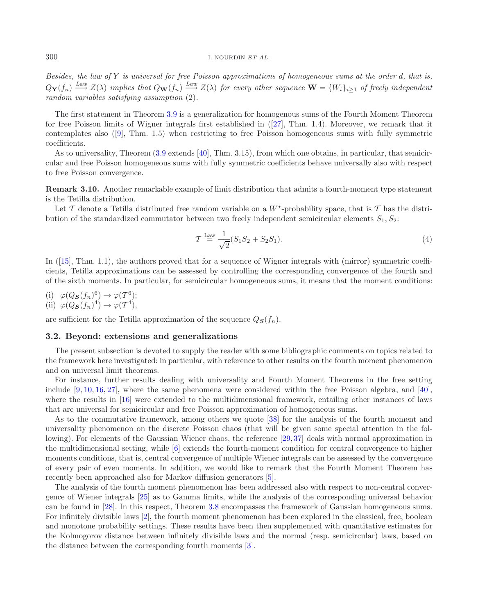*Besides, the law of* Y *is universal for free Poisson approximations of homogeneous sums at the order* d*, that is,*  $Q_{\mathbf{Y}}(f_n) \stackrel{Law}{\longrightarrow} Z(\lambda)$  implies that  $Q_{\mathbf{W}}(f_n) \stackrel{Law}{\longrightarrow} Z(\lambda)$  for every other sequence  $\mathbf{W} = \{W_i\}_{i \geq 1}$  of freely independent *random variables satisfying assumption* (2)*.*

The first statement in Theorem [3.9](#page-6-1) is a generalization for homogenous sums of the Fourth Moment Theorem for free Poisson limits of Wigner integrals first established in ([\[27](#page-15-10)], Thm. 1.4). Moreover, we remark that it contemplates also ([\[9\]](#page-14-5), Thm. 1.5) when restricting to free Poisson homogeneous sums with fully symmetric coefficients.

As to universality, Theorem [\(3.9](#page-6-1) extends [\[40\]](#page-15-5), Thm. 3.15), from which one obtains, in particular, that semicircular and free Poisson homogeneous sums with fully symmetric coefficients behave universally also with respect to free Poisson convergence.

**Remark 3.10.** Another remarkable example of limit distribution that admits a fourth-moment type statement is the Tetilla distribution.

Let T denote a Tetilla distributed free random variable on a  $W^*$ -probability space, that is T has the distribution of the standardized commutator between two freely independent semicircular elements  $S_1, S_2$ :

<span id="page-7-0"></span>
$$
\mathcal{T} \stackrel{\text{Law}}{=} \frac{1}{\sqrt{2}} (S_1 S_2 + S_2 S_1). \tag{4}
$$

In ([\[15\]](#page-14-7), Thm. 1.1), the authors proved that for a sequence of Wigner integrals with (mirror) symmetric coefficients, Tetilla approximations can be assessed by controlling the corresponding convergence of the fourth and of the sixth moments. In particular, for semicircular homogeneous sums, it means that the moment conditions:

(i)  $\varphi(Q_{\mathbf{S}}(f_n)^6) \to \varphi(\mathcal{T}^6);$ (ii)  $\varphi(Q_{\mathbf{S}}(f_n)^4) \to \varphi(\mathcal{T}^4),$ 

are sufficient for the Tetilla approximation of the sequence  $Q_{\mathbf{S}}(f_n)$ .

### **3.2. Beyond: extensions and generalizations**

The present subsection is devoted to supply the reader with some bibliographic comments on topics related to the framework here investigated: in particular, with reference to other results on the fourth moment phenomenon and on universal limit theorems.

For instance, further results dealing with universality and Fourth Moment Theorems in the free setting include [\[9,](#page-14-5) [10,](#page-14-6) [16,](#page-14-9) [27\]](#page-15-10), where the same phenomena were considered within the free Poisson algebra, and [\[40](#page-15-5)], where the results in [\[16\]](#page-14-9) were extended to the multidimensional framework, entailing other instances of laws that are universal for semicircular and free Poisson approximation of homogeneous sums.

As to the commutative framework, among others we quote [\[38](#page-15-7)] for the analysis of the fourth moment and universality phenomenon on the discrete Poisson chaos (that will be given some special attention in the following). For elements of the Gaussian Wiener chaos, the reference [\[29,](#page-15-11) [37\]](#page-15-12) deals with normal approximation in the multidimensional setting, while [\[6\]](#page-14-15) extends the fourth-moment condition for central convergence to higher moments conditions, that is, central convergence of multiple Wiener integrals can be assessed by the convergence of every pair of even moments. In addition, we would like to remark that the Fourth Moment Theorem has recently been approached also for Markov diffusion generators [\[5\]](#page-14-16).

The analysis of the fourth moment phenomenon has been addressed also with respect to non-central convergence of Wiener integrals [\[25\]](#page-14-14) as to Gamma limits, while the analysis of the corresponding universal behavior can be found in [\[28\]](#page-15-6). In this respect, Theorem [3.8](#page-6-0) encompasses the framework of Gaussian homogeneous sums. For infinitely divisible laws [\[2\]](#page-14-4), the fourth moment phenomenon has been explored in the classical, free, boolean and monotone probability settings. These results have been then supplemented with quantitative estimates for the Kolmogorov distance between infinitely divisible laws and the normal (resp. semicircular) laws, based on the distance between the corresponding fourth moments [\[3\]](#page-14-17).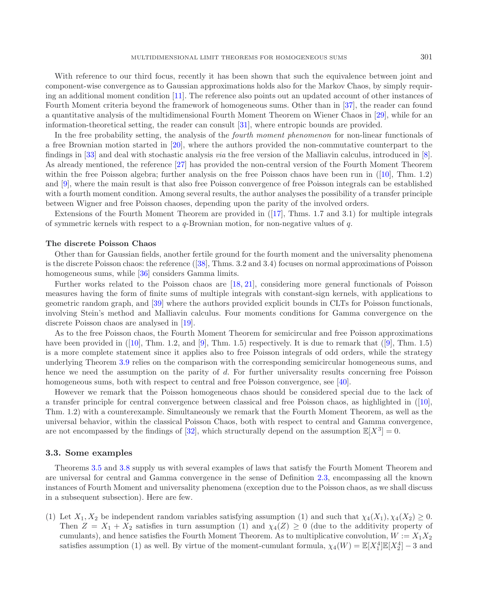With reference to our third focus, recently it has been shown that such the equivalence between joint and component-wise convergence as to Gaussian approximations holds also for the Markov Chaos, by simply requiring an additional moment condition [\[11](#page-14-18)]. The reference also points out an updated account of other instances of Fourth Moment criteria beyond the framework of homogeneous sums. Other than in [\[37\]](#page-15-12), the reader can found a quantitative analysis of the multidimensional Fourth Moment Theorem on Wiener Chaos in [\[29\]](#page-15-11), while for an information-theoretical setting, the reader can consult [\[31\]](#page-15-13), where entropic bounds are provided.

In the free probability setting, the analysis of the *fourth moment phenomenon* for non-linear functionals of a free Brownian motion started in [\[20\]](#page-14-2), where the authors provided the non-commutative counterpart to the findings in [\[33\]](#page-15-0) and deal with stochastic analysis *via* the free version of the Malliavin calculus, introduced in [\[8](#page-14-3)]. As already mentioned, the reference [\[27](#page-15-10)] has provided the non-central version of the Fourth Moment Theorem within the free Poisson algebra; further analysis on the free Poisson chaos have been run in ([\[10\]](#page-14-6), Thm. 1.2) and [\[9\]](#page-14-5), where the main result is that also free Poisson convergence of free Poisson integrals can be established with a fourth moment condition. Among several results, the author analyses the possibility of a transfer principle between Wigner and free Poisson chaoses, depending upon the parity of the involved orders.

Extensions of the Fourth Moment Theorem are provided in ([\[17\]](#page-14-8), Thms. 1.7 and 3.1) for multiple integrals of symmetric kernels with respect to a  $q$ -Brownian motion, for non-negative values of  $q$ .

### **The discrete Poisson Chaos**

Other than for Gaussian fields, another fertile ground for the fourth moment and the universality phenomena is the discrete Poisson chaos: the reference ([\[38\]](#page-15-7), Thms. 3.2 and 3.4) focuses on normal approximations of Poisson homogeneous sums, while [\[36](#page-15-14)] considers Gamma limits.

Further works related to the Poisson chaos are [\[18,](#page-14-19) [21\]](#page-14-20), considering more general functionals of Poisson measures having the form of finite sums of multiple integrals with constant-sign kernels, with applications to geometric random graph, and [\[39](#page-15-15)] where the authors provided explicit bounds in CLTs for Poisson functionals, involving Stein's method and Malliavin calculus. Four moments conditions for Gamma convergence on the discrete Poisson chaos are analysed in [\[19\]](#page-14-21).

As to the free Poisson chaos, the Fourth Moment Theorem for semicircular and free Poisson approximations have been provided in  $([10], Thm. 1.2, and [9], Thm. 1.5)$  $([10], Thm. 1.2, and [9], Thm. 1.5)$  $([10], Thm. 1.2, and [9], Thm. 1.5)$  $([10], Thm. 1.2, and [9], Thm. 1.5)$  $([10], Thm. 1.2, and [9], Thm. 1.5)$  respectively. It is due to remark that  $([9], Thm. 1.5)$  $([9], Thm. 1.5)$  $([9], Thm. 1.5)$ is a more complete statement since it applies also to free Poisson integrals of odd orders, while the strategy underlying Theorem [3.9](#page-6-1) relies on the comparison with the corresponding semicircular homogeneous sums, and hence we need the assumption on the parity of d. For further universality results concerning free Poisson homogeneous sums, both with respect to central and free Poisson convergence, see [\[40](#page-15-5)].

However we remark that the Poisson homogeneous chaos should be considered special due to the lack of a transfer principle for central convergence between classical and free Poisson chaos, as highlighted in ([\[10](#page-14-6)], Thm. 1.2) with a counterexample. Simultaneously we remark that the Fourth Moment Theorem, as well as the universal behavior, within the classical Poisson Chaos, both with respect to central and Gamma convergence, are not encompassed by the findings of [\[32\]](#page-15-4), which structurally depend on the assumption  $\mathbb{E}[X^3] = 0$ .

#### **3.3. Some examples**

Theorems [3.5](#page-5-0) and [3.8](#page-6-0) supply us with several examples of laws that satisfy the Fourth Moment Theorem and are universal for central and Gamma convergence in the sense of Definition [2.3,](#page-2-0) encompassing all the known instances of Fourth Moment and universality phenomena (exception due to the Poisson chaos, as we shall discuss in a subsequent subsection). Here are few.

(1) Let  $X_1, X_2$  be independent random variables satisfying assumption (1) and such that  $\chi_4(X_1), \chi_4(X_2) \geq 0$ . Then  $Z = X_1 + X_2$  satisfies in turn assumption (1) and  $\chi_4(Z) \geq 0$  (due to the additivity property of cumulants), and hence satisfies the Fourth Moment Theorem. As to multiplicative convolution,  $W := X_1 X_2$ satisfies assumption (1) as well. By virtue of the moment-cumulant formula,  $\chi_4(W) = \mathbb{E}[X_1^4]\mathbb{E}[X_2^4] - 3$  and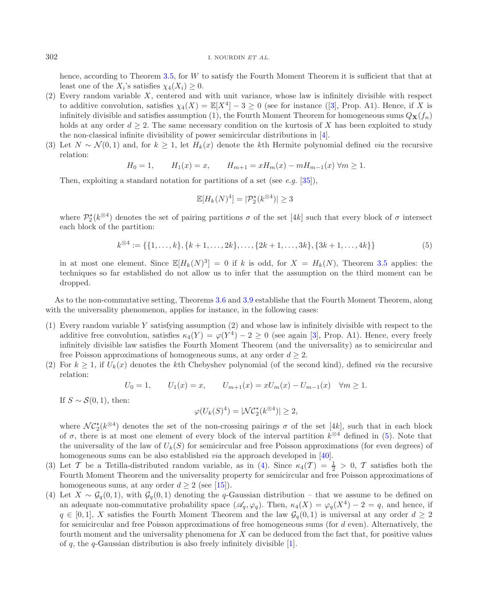<span id="page-9-0"></span>hence, according to Theorem [3.5,](#page-5-0) for W to satisfy the Fourth Moment Theorem it is sufficient that that at least one of the  $X_i$ 's satisfies  $\chi_4(X_i) \geq 0$ .

- (2) Every random variable X, centered and with unit variance, whose law is infinitely divisible with respect to additive convolution, satisfies  $\chi_4(X) = \mathbb{E}[X^4] - 3 \ge 0$  (see for instance ([\[3\]](#page-14-17), Prop. A1). Hence, if X is infinitely divisible and satisfies assumption (1), the Fourth Moment Theorem for homogeneous sums  $Q_{\mathbf{X}}(f_n)$ holds at any order  $d \geq 2$ . The same necessary condition on the kurtosis of X has been exploited to study the non-classical infinite divisibility of power semicircular distributions in [\[4\]](#page-14-22).
- (3) Let  $N \sim \mathcal{N}(0, 1)$  and, for  $k > 1$ , let  $H_k(x)$  denote the kth Hermite polynomial defined *via* the recursive relation:

$$
H_0 = 1, \qquad H_1(x) = x, \qquad H_{m+1} = xH_m(x) - mH_{m-1}(x) \,\forall m \ge 1.
$$

Then, exploiting a standard notation for partitions of a set (see *e.g.* [\[35\]](#page-15-9)),

$$
\mathbb{E}[H_k(N)^4] = |\mathcal{P}_2^{\star}(k^{\otimes 4})| \ge 3
$$

where  $\mathcal{P}_2^{\star}(k^{\otimes 4})$  denotes the set of pairing partitions  $\sigma$  of the set [4k] such that every block of  $\sigma$  intersect each block of the partition:

$$
k^{\otimes 4} := \{ \{1, \ldots, k\}, \{k+1, \ldots, 2k\}, \ldots, \{2k+1, \ldots, 3k\}, \{3k+1, \ldots, 4k\} \}
$$
(5)

in at most one element. Since  $\mathbb{E}[H_k(N)^3] = 0$  if k is odd, for  $X = H_k(N)$ , Theorem [3.5](#page-5-0) applies: the techniques so far established do not allow us to infer that the assumption on the third moment can be dropped.

As to the non-commutative setting, Theorems [3.6](#page-5-1) and [3.9](#page-6-1) establishe that the Fourth Moment Theorem, along with the universality phenomenon, applies for instance, in the following cases:

- (1) Every random variable Y satisfying assumption (2) and whose law is infinitely divisible with respect to the additive free convolution, satisfies  $\kappa_4(Y) = \varphi(Y^4) - 2 \ge 0$  (see again [\[3](#page-14-17)], Prop. A1). Hence, every freely infinitely divisible law satisfies the Fourth Moment Theorem (and the universality) as to semicircular and free Poisson approximations of homogeneous sums, at any order  $d \geq 2$ .
- (2) For  $k \geq 1$ , if  $U_k(x)$  denotes the kth Chebyshev polynomial (of the second kind), defined *via* the recursive relation:

$$
U_0 = 1, \qquad U_1(x) = x, \qquad U_{m+1}(x) = xU_m(x) - U_{m-1}(x) \quad \forall m \ge 1.
$$

If  $S \sim S(0, 1)$ , then:

$$
\varphi(U_k(S)^4) = |\mathcal{NC}_2^{\star}(k^{\otimes 4})| \ge 2,
$$

where  $\mathcal{NC}_2^{\star}(k^{\otimes 4})$  denotes the set of the non-crossing pairings  $\sigma$  of the set [4k], such that in each block of  $\sigma$ , there is at most one element of every block of the interval partition  $k^{\otimes 4}$  defined in [\(5\)](#page-9-0). Note that the universality of the law of  $U_k(S)$  for semicircular and free Poisson approximations (for even degrees) of homogeneous sums can be also established *via* the approach developed in [\[40\]](#page-15-5).

- (3) Let T be a Tetilla-distributed random variable, as in [\(4\)](#page-7-0). Since  $\kappa_4(\mathcal{T}) = \frac{1}{2} > 0$ , T satisfies both the Fourth Moment Theorem and the universality property for semicircular and free Poisson approximations of homogeneous sums, at any order  $d \geq 2$  (see [\[15\]](#page-14-7)).
- (4) Let  $X \sim \mathcal{G}_q(0,1)$ , with  $\mathcal{G}_q(0,1)$  denoting the q-Gaussian distribution that we assume to be defined on an adequate non-commutative probability space  $(\mathscr{A}_q, \varphi_q)$ . Then,  $\kappa_4(X) = \varphi_q(X^4) - 2 = q$ , and hence, if  $q \in [0,1], X$  satisfies the Fourth Moment Theorem and the law  $\mathcal{G}_q(0,1)$  is universal at any order  $d \geq 2$ for semicircular and free Poisson approximations of free homogeneous sums (for  $d$  even). Alternatively, the fourth moment and the universality phenomena for X can be deduced from the fact that, for positive values of q, the q-Gaussian distribution is also freely infinitely divisible  $[1]$ .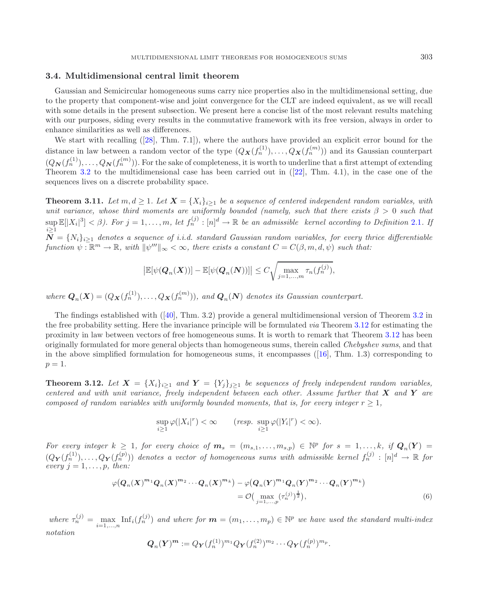#### **3.4. Multidimensional central limit theorem**

Gaussian and Semicircular homogeneous sums carry nice properties also in the multidimensional setting, due to the property that component-wise and joint convergence for the CLT are indeed equivalent, as we will recall with some details in the present subsection. We present here a concise list of the most relevant results matching with our purposes, siding every results in the commutative framework with its free version, always in order to enhance similarities as well as differences.

We start with recalling ([\[28\]](#page-15-6), Thm. 7.1]), where the authors have provided an explicit error bound for the distance in law between a random vector of the type  $(Q_{\boldsymbol{X}}(f_n^{(1)}), \ldots, Q_{\boldsymbol{X}}(f_n^{(m)}))$  and its Gaussian counterpart  $(Q_{\mathbf{N}}(f_n^{(1)}),...,Q_{\mathbf{N}}(f_n^{(m)}))$ . For the sake of completeness, it is worth to underline that a first attempt of extending Theorem [3.2](#page-4-1) to the multidimensional case has been carried out in ([\[22\]](#page-14-24), Thm. 4.1), in the case one of the sequences lives on a discrete probability space.

<span id="page-10-1"></span>**Theorem 3.11.** *Let*  $m, d \geq 1$ *. Let*  $X = \{X_i\}_{i\geq 1}$  *be a sequence of centered independent random variables, with unit variance, whose third moments are uniformly bounded (namely, such that there exists*  $\beta > 0$  *such that*  $\sup \mathbb{E}[|X_i|^3] < \beta$ ). For  $j = 1, \ldots, m$ , let  $f_n^{(j)} : [n]^d \to \mathbb{R}$  be an admissible kernel according to Definition [2.1](#page-2-1). If  $N = \{N_i\}_{i\geq 1}$  denotes a sequence of i.i.d. standard Gaussian random variables, for every thrice differentiable  $function \psi : \mathbb{R}^m \to \mathbb{R}, with \|\psi^{\prime\prime\prime}\|_{\infty} < \infty, there exists a constant C = C(\beta, m, d, \psi) such that:$ 

$$
\big|\mathbb{E}[\psi(\boldsymbol{Q}_n(\boldsymbol{X}))] - \mathbb{E}[\psi(\boldsymbol{Q}_n(\boldsymbol{N}))]\big| \le C \sqrt{\max_{j=1,\ldots,m} \tau_n(f_n^{(j)})},
$$

 $where \mathbf{Q}_n(\mathbf{X}) = (Q_{\mathbf{X}}(f_n^{(1)}), \dots, Q_{\mathbf{X}}(f_n^{(m)}))$ , and  $\mathbf{Q}_n(\mathbf{N})$  denotes its Gaussian counterpart.

The findings established with ([\[40\]](#page-15-5), Thm. 3.2) provide a general multidimensional version of Theorem [3.2](#page-4-1) in the free probability setting. Here the invariance principle will be formulated *via* Theorem [3.12](#page-10-0) for estimating the proximity in law between vectors of free homogeneous sums. It is worth to remark that Theorem [3.12](#page-10-0) has been originally formulated for more general objects than homogeneous sums, therein called *Chebyshev sums*, and that in the above simplified formulation for homogeneous sums, it encompasses  $(16)$ , Thm. 1.3) corresponding to  $p=1$ .

<span id="page-10-0"></span>**Theorem 3.12.** Let  $X = \{X_i\}_{i\geq 1}$  and  $Y = \{Y_i\}_{i\geq 1}$  be sequences of freely independent random variables, *centered and with unit variance, freely independent between each other. Assume further that X and Y are composed of random variables with uniformly bounded moments, that is, for every integer*  $r > 1$ ,

$$
\sup_{i\geq 1}\varphi(|X_i|^r) < \infty \qquad (resp. \ \sup_{i\geq 1}\varphi(|Y_i|^r) < \infty).
$$

*For every integer*  $k \geq 1$ *, for every choice of*  $m_s = (m_{s,1}, \ldots, m_{s,p}) \in \mathbb{N}^p$  *for*  $s = 1, \ldots, k$ *, if*  $Q_n(Y) =$  $(Q_{\boldsymbol{Y}}(f_n^{(1)}), \ldots, Q_{\boldsymbol{Y}}(f_n^{(p)}))$  denotes a vector of homogeneous sums with admissible kernel  $f_n^{(j)} : [n]^d \to \mathbb{R}$  for  $\begin{array}{c} \text{every } j = 1, \ldots, p, \text{ then:} \end{array}$ 

$$
\varphi(Q_n(X)^{m_1}Q_n(X)^{m_2}\cdots Q_n(X)^{m_k}) - \varphi(Q_n(Y)^{m_1}Q_n(Y)^{m_2}\cdots Q_n(Y)^{m_k})
$$
  
=  $\mathcal{O}\left(\max_{j=1,\ldots,p} (\tau_n^{(j)})^{\frac{1}{2}}\right),$  (6)

where  $\tau_n^{(j)} = \max_{i=1,\dots,n} \text{Inf}_i(f_n^{(j)})$  and where for  $\mathbf{m} = (m_1,\dots,m_p) \in \mathbb{N}^p$  we have used the standard multi-index *notation*

$$
\mathbf{Q}_n(\mathbf{Y})^{\mathbf{m}} := Q_{\mathbf{Y}}(f_n^{(1)})^{m_1} Q_{\mathbf{Y}}(f_n^{(2)})^{m_2} \cdots Q_{\mathbf{Y}}(f_n^{(p)})^{m_p}.
$$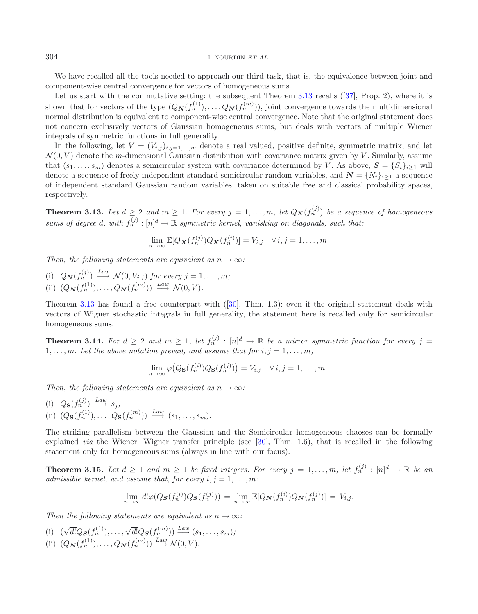304 I. NOURDIN *ET AL.*

We have recalled all the tools needed to approach our third task, that is, the equivalence between joint and component-wise central convergence for vectors of homogeneous sums.

Let us start with the commutative setting: the subsequent Theorem [3.13](#page-11-0) recalls ([\[37](#page-15-12)], Prop. 2), where it is shown that for vectors of the type  $(Q_{\mathbf{N}}(f_n^{(1)}),...,Q_{\mathbf{N}}(f_n^{(m)}))$ , joint convergence towards the multidimensional normal distribution is equivalent to component-wise central convergence. Note that the original statement does not concern exclusively vectors of Gaussian homogeneous sums, but deals with vectors of multiple Wiener integrals of symmetric functions in full generality.

In the following, let  $V = (V_{i,j})_{i,j=1,\dots,m}$  denote a real valued, positive definite, symmetric matrix, and let  $\mathcal{N}(0, V)$  denote the m-dimensional Gaussian distribution with covariance matrix given by V. Similarly, assume that  $(s_1,...,s_m)$  denotes a semicircular system with covariance determined by V. As above,  $\mathbf{S} = \{S_i\}_{i\geq 1}$  will denote a sequence of freely independent standard semicircular random variables, and  $\mathbf{N} = \{N_i\}_{i\geq 1}$  a sequence of independent standard Gaussian random variables, taken on suitable free and classical probability spaces, respectively.

<span id="page-11-0"></span>**Theorem 3.13.** Let  $d \geq 2$  and  $m \geq 1$ . For every  $j = 1, \ldots, m$ , let  $Q_{\mathbf{X}}(f_n^{(j)})$  be a sequence of homogeneous  $sums$  of degree d, with  $f_n^{(j)} : [n]^d \to \mathbb{R}$  *symmetric kernel, vanishing on diagonals, such that:* 

$$
\lim_{n\to\infty}\mathbb{E}[Q_{\mathbf{X}}(f_n^{(j)})Q_{\mathbf{X}}(f_n^{(i)})]=V_{i,j}\quad\forall\,i,j=1,\ldots,m.
$$

*Then, the following statements are equivalent as*  $n \rightarrow \infty$ *:* 

(i)  $Q_{\mathbf{N}}(f_n^{(j)}) \stackrel{Law}{\longrightarrow} \mathcal{N}(0, V_{j,j})$  *for every*  $j = 1, \ldots, m$ ; (ii)  $(Q_{\mathbf{N}}(f_n^{(1)}), \ldots, Q_{\mathbf{N}}(f_n^{(m)})) \stackrel{Law}{\longrightarrow} \mathcal{N}(0, V).$ 

Theorem [3.13](#page-11-0) has found a free counterpart with ([\[30\]](#page-15-3), Thm. 1.3): even if the original statement deals with vectors of Wigner stochastic integrals in full generality, the statement here is recalled only for semicircular homogeneous sums.

<span id="page-11-1"></span>**Theorem 3.14.** For  $d \geq 2$  and  $m \geq 1$ , let  $f_n^{(j)} : [n]^d \to \mathbb{R}$  be a mirror symmetric function for every  $j =$  $1, \ldots, m$ *. Let the above notation prevail, and assume that for*  $i, j = 1, \ldots, m$ *,* 

$$
\lim_{n \to \infty} \varphi\big(Q_{\mathbf{S}}(f_n^{(i)})Q_{\mathbf{S}}(f_n^{(j)})\big) = V_{i,j} \quad \forall \, i, j = 1, \dots, m.
$$

*Then, the following statements are equivalent as*  $n \rightarrow \infty$ *:* 

(i)  $Q_{\mathbf{S}}(f_n^{(j)}) \stackrel{Law}{\longrightarrow} s_j;$ (ii)  $(Q_{\mathbf{S}}(f_n^{(1)}), \ldots, Q_{\mathbf{S}}(f_n^{(m)})) \stackrel{Law}{\longrightarrow} (s_1, \ldots, s_m).$ 

The striking parallelism between the Gaussian and the Semicircular homogeneous chaoses can be formally explained *via* the Wiener−Wigner transfer principle (see [\[30](#page-15-3)], Thm. 1.6), that is recalled in the following statement only for homogeneous sums (always in line with our focus).

<span id="page-11-2"></span>**Theorem 3.15.** Let  $d \geq 1$  and  $m \geq 1$  be fixed integers. For every  $j = 1, ..., m$ , let  $f_n^{(j)} : [n]^d \to \mathbb{R}$  be an *admissible kernel, and assume that, for every*  $i, j = 1, \ldots, m$ *:* 

$$
\lim_{n\to\infty} d\mathcal{Q}(Q_{\mathbf{S}}(f_n^{(i)})Q_{\mathbf{S}}(f_n^{(j)})) = \lim_{n\to\infty} \mathbb{E}[Q_{\mathbf{N}}(f_n^{(i)})Q_{\mathbf{N}}(f_n^{(j)})] = V_{i,j}.
$$

*Then the following statements are equivalent as*  $n \to \infty$ *:* 

(i)  $(\sqrt{d!}Q_{\mathbf{S}}(f_n^{(1)}), \ldots, \sqrt{d!}Q_{\mathbf{S}}(f_n^{(m)})) \xrightarrow{Law} (s_1, \ldots, s_m)$ ; (ii)  $(Q_{\mathbf{N}}(f_n^{(1)}), \ldots, Q_{\mathbf{N}}(f_n^{(m)})) \stackrel{Law}{\longrightarrow} \mathcal{N}(0, V).$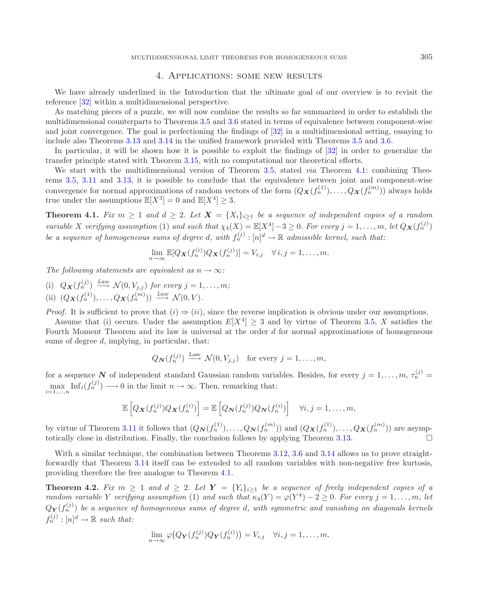## 4. Applications: some new results

We have already underlined in the Introduction that the ultimate goal of our overview is to revisit the reference [\[32](#page-15-4)] within a multidimensional perspective.

As matching pieces of a puzzle, we will now combine the results so far summarized in order to establish the multidimensional counterparts to Theorems [3.5](#page-5-0) and [3.6](#page-5-1) stated in terms of equivalence between component-wise and joint convergence. The goal is perfectioning the findings of [\[32\]](#page-15-4) in a multidimensional setting, essaying to include also Theorems [3.13](#page-11-0) and [3.14](#page-11-1) in the unified framework provided with Theorems [3.5](#page-5-0) and [3.6.](#page-5-1)

In particular, it will be shown how it is possible to exploit the findings of [\[32](#page-15-4)] in order to generalize the transfer principle stated with Theorem [3.15,](#page-11-2) with no computational nor theoretical efforts.

We start with the multidimensional version of Theorem [3.5,](#page-5-0) stated *via* Theorem [4.1:](#page-12-0) combining Theorems [3.5,](#page-5-0) [3.11](#page-10-1) and [3.13,](#page-11-0) it is possible to conclude that the equivalence between joint and component-wise convergence for normal approximations of random vectors of the form  $(Q_{\boldsymbol{X}}(f_n^{(1)}), \ldots, Q_{\boldsymbol{X}}(f_n^{(m)}))$  always holds true under the assumptions  $\mathbb{E}[X^3] = 0$  and  $\mathbb{E}[X^4] \geq 3$ .

<span id="page-12-0"></span>**Theorem 4.1.** *Fix*  $m \geq 1$  *and*  $d \geq 2$ *. Let*  $X = \{X_i\}_{i\geq 1}$  *be a sequence of independent copies of a random variable* X *verifying assumption* (1) *and such that*  $\chi_4(X) = \mathbb{E}[X^4] - 3 \geq 0$ *. For every*  $j = 1, \ldots, m$ , let  $Q_{\mathbf{X}}(f_n^{(j)})$ *be a sequence of homogeneous sums of degree d, with*  $f_n^{(j)} : [n]^d \to \mathbb{R}$  *admissible kernel, such that:* 

$$
\lim_{n \to \infty} \mathbb{E}[Q_{\mathbf{X}}(f_n^{(i)}) Q_{\mathbf{X}}(f_n^{(j)})] = V_{i,j} \quad \forall i, j = 1, \dots, m.
$$

*The following statements are equivalent as*  $n \rightarrow \infty$ *:* 

(i)  $Q_{\mathbf{X}}(f_n^{(j)}) \stackrel{Law}{\longrightarrow} \mathcal{N}(0, V_{j,j})$  *for every*  $j = 1, \ldots, m$ ; (ii)  $(Q_{\mathbf{X}}(f_n^{(1)}), \ldots, Q_{\mathbf{X}}(f_n^{(m)})) \stackrel{Law}{\longrightarrow} \mathcal{N}(0, V)$ *.* 

*Proof.* It is sufficient to prove that  $(i) \Rightarrow (ii)$ , since the reverse implication is obvious under our assumptions.

Assume that (i) occurs. Under the assumption  $E[X^4] \geq 3$  and by virtue of Theorem [3.5,](#page-5-0) X satisfies the Fourth Moment Theorem and its law is universal at the order d for normal approximations of homogeneous sums of degree d, implying, in particular, that:

$$
Q_{\mathbf{N}}(f_n^{(j)}) \stackrel{\text{Law}}{\longrightarrow} \mathcal{N}(0, V_{j,j})
$$
 for every  $j = 1, ..., m$ ,

for a sequence *N* of independent standard Gaussian random variables. Besides, for every  $j = 1, \ldots, m, \tau_n^{(j)} = 1$  $\max_{i=1,\ldots,n} \text{Inf}_i(f_n^{(j)}) \longrightarrow 0$  in the limit  $n \to \infty$ . Then, remarking that:

$$
\mathbb{E}\left[Q_{\mathbf{X}}(f_n^{(j)})Q_{\mathbf{X}}(f_n^{(i)})\right] = \mathbb{E}\left[Q_{\mathbf{N}}(f_n^{(j)})Q_{\mathbf{N}}(f_n^{(i)})\right] \quad \forall i,j=1,\ldots,m,
$$

by virtue of Theorem [3.11](#page-10-1) it follows that  $(Q_{\mathbf{N}}(f_n^{(1)}), \ldots, Q_{\mathbf{N}}(f_n^{(m)}))$  and  $(Q_{\mathbf{X}}(f_n^{(1)}), \ldots, Q_{\mathbf{X}}(f_n^{(m)}))$  are asymp-totically close in distribution. Finally, the conclusion follows by applying Theorem [3.13.](#page-11-0)

With a similar technique, the combination between Theorems [3.12,](#page-10-0) [3.6](#page-5-1) and [3.14](#page-11-1) allows us to prove straightforwardly that Theorem [3.14](#page-11-1) itself can be extended to all random variables with non-negative free kurtosis, providing therefore the free analogue to Theorem [4.1.](#page-12-0)

<span id="page-12-1"></span>**Theorem 4.2.** Fix  $m \geq 1$  and  $d \geq 2$ . Let  $Y = \{Y_i\}_{i>1}$  be a sequence of freely independent copies of a *random variable* Y *verifying assumption* (1) *and such that*  $\kappa_4(Y) = \varphi(Y^4) - 2 \ge 0$ *. For every*  $j = 1, \ldots, m$ , let  $Q_Y(f_n^{(j)})$  be a sequence of homogeneous sums of degree d, with symmetric and vanishing on diagonals kernels  $f_n^{(j)} : [n]^d \to \mathbb{R}$  such that:

$$
\lim_{n \to \infty} \varphi\big(Q_{\mathbf{Y}}(f_n^{(j)})Q_{\mathbf{Y}}(f_n^{(i)})\big) = V_{i,j} \quad \forall i, j = 1, \dots, m.
$$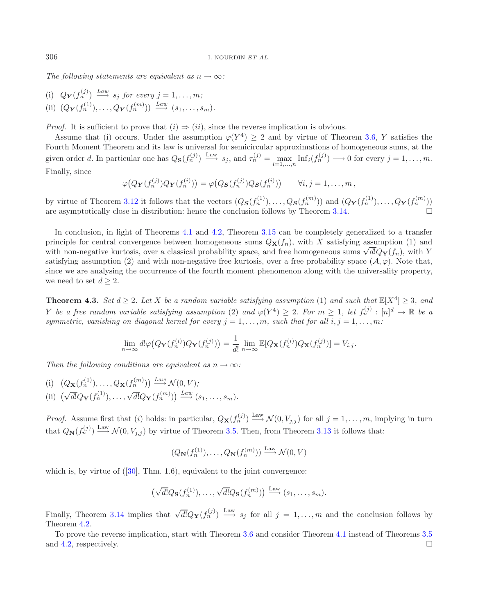*The following statements are equivalent as*  $n \rightarrow \infty$ *:* 

(i)  $Q_{\mathbf{Y}}(f_n^{(j)}) \stackrel{Law}{\longrightarrow} s_j$  *for every*  $j = 1, \ldots, m;$ (ii)  $(Q_{\mathbf{Y}}(f_n^{(1)}),...,Q_{\mathbf{Y}}(f_n^{(m)})) \stackrel{Law}{\longrightarrow} (s_1,...,s_m).$ 

*Proof.* It is sufficient to prove that  $(i) \Rightarrow (ii)$ , since the reverse implication is obvious.

Assume that (i) occurs. Under the assumption  $\varphi(Y^4) \geq 2$  and by virtue of Theorem [3.6,](#page-5-1) Y satisfies the Fourth Moment Theorem and its law is universal for semicircular approximations of homogeneous sums, at the given order d. In particular one has  $Q_{\mathbf{S}}(f_n^{(j)}) \stackrel{\text{Law}}{\longrightarrow} s_j$ , and  $\tau_n^{(j)} = \max_{i=1,\dots,n} \text{Inf}_i(f_n^{(j)}) \longrightarrow 0$  for every  $j = 1,\dots,m$ . Finally, since

$$
\varphi\big(Q_{\mathbf{Y}}(f_n^{(j)})Q_{\mathbf{Y}}(f_n^{(i)})\big)=\varphi\big(Q_{\mathbf{S}}(f_n^{(j)})Q_{\mathbf{S}}(f_n^{(i)})\big) \qquad \forall i,j=1,\ldots,m\,,
$$

by virtue of Theorem [3.12](#page-10-0) it follows that the vectors  $(Q_{\mathcal{S}}(f_n^{(1)}), \ldots, Q_{\mathcal{S}}(f_n^{(m)}))$  and  $(Q_{\mathcal{Y}}(f_n^{(1)}), \ldots, Q_{\mathcal{Y}}(f_n^{(m)}))$ are asymptotically close in distribution: hence the conclusion follows by Theorem [3.14.](#page-11-1)

In conclusion, in light of Theorems [4.1](#page-12-0) and [4.2,](#page-12-1) Theorem [3.15](#page-11-2) can be completely generalized to a transfer principle for central convergence between homogeneous sums  $Q_{\mathbf{X}}(f_n)$ , with X satisfying assumption (1) and principle for central convergence between nomogeneous sums  $Q_{\mathbf{X}(f_n)}$ , with  $\lambda$  satisfying assumption (1) and with non-negative kurtosis, over a classical probability space, and free homogeneous sums  $\sqrt{d}Q_{\mathbf{Y}}(f_n$ satisfying assumption (2) and with non-negative free kurtosis, over a free probability space ( $\mathcal{A}, \varphi$ ). Note that, since we are analysing the occurrence of the fourth moment phenomenon along with the universality property, we need to set  $d \geq 2$ .

<span id="page-13-0"></span>**Theorem 4.3.** *Set*  $d \geq 2$ *. Let* X *be a random variable satisfying assumption* (1) *and such that*  $\mathbb{E}[X^4] > 3$ *, and* Y be a free random variable satisfying assumption (2) and  $\varphi(Y^4) \geq 2$ . For  $m \geq 1$ , let  $f_n^{(j)} : [n]^d \to \mathbb{R}$  be a *symmetric, vanishing on diagonal kernel for every*  $j = 1, \ldots, m$ *, such that for all*  $i, j = 1, \ldots, m$ *:* 

$$
\lim_{n \to \infty} d! \varphi \big( Q_{\mathbf{Y}}(f_n^{(i)}) Q_{\mathbf{Y}}(f_n^{(j)}) \big) = \frac{1}{d!} \lim_{n \to \infty} \mathbb{E} [Q_{\mathbf{X}}(f_n^{(i)}) Q_{\mathbf{X}}(f_n^{(j)})] = V_{i,j}.
$$

*Then the following conditions are equivalent as*  $n \rightarrow \infty$ *:* 

(i)  $(Q_{\mathbf{X}}(f_n^{(1)}), \ldots, Q_{\mathbf{X}}(f_n^{(m)})) \stackrel{Law}{\longrightarrow} \mathcal{N}(0, V);$ (ii)  $(\sqrt{d!}Q_{\mathbf{Y}}(f_n^{(1)}),\ldots,\sqrt{d!}Q_{\mathbf{Y}}(f_n^{(m)})) \xrightarrow{Law} (s_1,\ldots,s_m).$ 

*Proof.* Assume first that (i) holds: in particular,  $Q_{\mathbf{X}}(f_n^{(j)}) \stackrel{\text{Law}}{\longrightarrow} \mathcal{N}(0, V_{j,j})$  for all  $j = 1, \ldots, m$ , implying in turn that  $Q_{\mathbf{N}}(f_n^{(j)}) \stackrel{\text{Law}}{\longrightarrow} \mathcal{N}(0, V_{j,j})$  by virtue of Theorem [3.5.](#page-5-0) Then, from Theorem [3.13](#page-11-0) it follows that:

$$
(Q_{\mathbf{N}}(f_n^{(1)}), \ldots, Q_{\mathbf{N}}(f_n^{(m)})) \xrightarrow{\text{Law}} \mathcal{N}(0, V)
$$

which is, by virtue of  $([30], \text{ Thm. } 1.6)$  $([30], \text{ Thm. } 1.6)$  $([30], \text{ Thm. } 1.6)$ , equivalent to the joint convergence:

$$
\left(\sqrt{d!}Q_{\mathbf{S}}(f_n^{(1)}),\ldots,\sqrt{d!}Q_{\mathbf{S}}(f_n^{(m)})\right) \stackrel{\text{Law}}{\longrightarrow} (s_1,\ldots,s_m).
$$

Finally, Theorem [3.14](#page-11-1) implies that  $\sqrt{d!}Q_{\mathbf{Y}}(f_n^{(j)}) \stackrel{\text{Law}}{\longrightarrow} s_j$  for all  $j = 1, ..., m$  and the conclusion follows by Theorem [4.2.](#page-12-1)

To prove the reverse implication, start with Theorem [3.6](#page-5-1) and consider Theorem [4.1](#page-12-0) instead of Theorems [3.5](#page-5-0) and [4.2,](#page-12-1) respectively.  $\Box$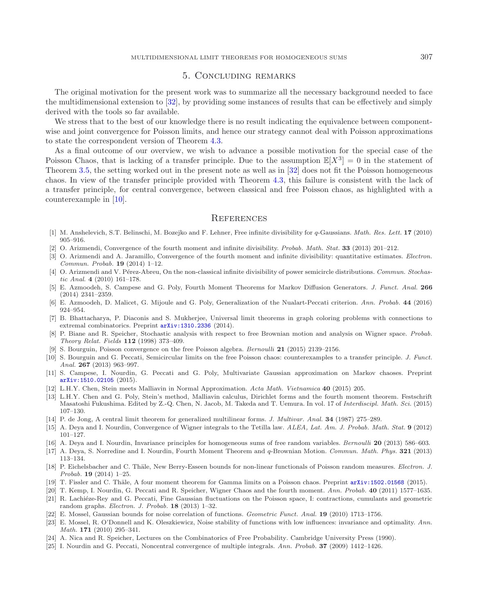## 5. Concluding remarks

The original motivation for the present work was to summarize all the necessary background needed to face the multidimensional extension to [\[32\]](#page-15-4), by providing some instances of results that can be effectively and simply derived with the tools so far available.

We stress that to the best of our knowledge there is no result indicating the equivalence between componentwise and joint convergence for Poisson limits, and hence our strategy cannot deal with Poisson approximations to state the correspondent version of Theorem [4.3.](#page-13-0)

As a final outcome of our overview, we wish to advance a possible motivation for the special case of the Poisson Chaos, that is lacking of a transfer principle. Due to the assumption  $\mathbb{E}[X^3] = 0$  in the statement of Theorem [3.5,](#page-5-0) the setting worked out in the present note as well as in [\[32](#page-15-4)] does not fit the Poisson homogeneous chaos. In view of the transfer principle provided with Theorem [4.3,](#page-13-0) this failure is consistent with the lack of a transfer principle, for central convergence, between classical and free Poisson chaos, as highlighted with a counterexample in [\[10\]](#page-14-6).

### **REFERENCES**

- <span id="page-14-23"></span>[1] M. Anshelevich, S.T. Belinschi, M. Bozejko and F. Lehner, Free infinite divisibility for *q*-Gaussians. *Math. Res. Lett.* **17** (2010) 905–916.
- <span id="page-14-4"></span>[2] O. Arizmendi, Convergence of the fourth moment and infinite divisibility. *Probab. Math. Stat.* **33** (2013) 201–212.
- <span id="page-14-17"></span>[3] O. Arizmendi and A. Jaramillo, Convergence of the fourth moment and infinite divisibility: quantitative estimates. *Electron. Commun. Probab.* **19** (2014) 1–12.
- <span id="page-14-22"></span>[4] O. Arizmendi and V. Pérez-Abreu, On the non-classical infinite divisibility of power semicircle distributions. *Commun. Stochastic Anal.* **4** (2010) 161–178.
- <span id="page-14-16"></span>[5] E. Azmoodeh, S. Campese and G. Poly, Fourth Moment Theorems for Markov Diffusion Generators. *J. Funct. Anal.* **266** (2014) 2341–2359.
- <span id="page-14-15"></span>[6] E. Azmoodeh, D. Malicet, G. Mijoule and G. Poly, Generalization of the Nualart-Peccati criterion. *Ann. Probab.* **44** (2016) 924–954.
- <span id="page-14-11"></span>[7] B. Bhattacharya, P. Diaconis and S. Mukherjee, Universal limit theorems in graph coloring problems with connections to extremal combinatorics. Preprint [arXiv:1310.2336](http://arxiv.org/abs/1310.2336) (2014).
- <span id="page-14-3"></span>[8] P. Biane and R. Speicher, Stochastic analysis with respect to free Brownian motion and analysis on Wigner space. *Probab. Theory Relat. Fields* **112** (1998) 373–409.
- [9] S. Bourguin, Poisson convergence on the free Poisson algebra. *Bernoulli* **21** (2015) 2139–2156.
- <span id="page-14-6"></span><span id="page-14-5"></span>[10] S. Bourguin and G. Peccati, Semicircular limits on the free Poisson chaos: counterexamples to a transfer principle. *J. Funct. Anal.* **267** (2013) 963–997.
- <span id="page-14-18"></span>[11] S. Campese, I. Nourdin, G. Peccati and G. Poly, Multivariate Gaussian approximation on Markov chaoses. Preprint [arXiv:1510.02105](http://arxiv.org/abs/1510.02105) (2015).
- <span id="page-14-0"></span>[12] L.H.Y. Chen, Stein meets Malliavin in Normal Approximation. *Acta Math. Vietnamica* **40** (2015) 205.
- <span id="page-14-1"></span>[13] L.H.Y. Chen and G. Poly, Stein's method, Malliavin calculus, Dirichlet forms and the fourth moment theorem. Festschrift Masatoshi Fukushima. Edited by Z.-Q. Chen, N. Jacob, M. Takeda and T. Uemura. In vol. 17 of *Interdiscipl. Math. Sci.* (2015) 107–130.
- <span id="page-14-13"></span>[14] P. de Jong, A central limit theorem for generalized multilinear forms. *J. Multivar. Anal.* **34** (1987) 275–289.
- <span id="page-14-7"></span>[15] A. Deya and I. Nourdin, Convergence of Wigner integrals to the Tetilla law. *ALEA, Lat. Am. J. Probab. Math. Stat.* **9** (2012) 101–127.
- <span id="page-14-9"></span>[16] A. Deya and I. Nourdin, Invariance principles for homogeneous sums of free random variables. *Bernoulli* **20** (2013) 586–603.
- <span id="page-14-8"></span>[17] A. Deya, S. Norredine and I. Nourdin, Fourth Moment Theorem and *q*-Brownian Motion. *Commun. Math. Phys.* **321** (2013) 113–134.
- <span id="page-14-19"></span>[18] P. Eichelsbacher and C. Thäle, New Berry-Esseen bounds for non-linear functionals of Poisson random measures. *Electron. J. Probab.* **19** (2014) 1–25.
- <span id="page-14-21"></span>[19] T. Fissler and C. Thäle, A four moment theorem for Gamma limits on a Poisson chaos. Preprint  $arXiv:1502.01568$  (2015).
- <span id="page-14-2"></span>[20] T. Kemp, I. Nourdin, G. Peccati and R. Speicher, Wigner Chaos and the fourth moment. *Ann. Probab.* **40** (2011) 1577–1635.
- <span id="page-14-20"></span>[21] R. Lachiéze-Rey and G. Peccati, Fine Gaussian fluctuations on the Poisson space, I: contractions, cumulants and geometric random graphs. *Electron. J. Probab.* **18** (2013) 1–32.
- <span id="page-14-24"></span>[22] E. Mossel, Gaussian bounds for noise correlation of functions. *Geometric Funct. Anal.* **19** (2010) 1713–1756.
- <span id="page-14-10"></span>[23] E. Mossel, R. O'Donnell and K. Oleszkiewicz, Noise stability of functions with low influences: invariance and optimality. *Ann. Math.* **171** (2010) 295–341.
- <span id="page-14-12"></span>[24] A. Nica and R. Speicher, Lectures on the Combinatorics of Free Probability. Cambridge University Press (1990).
- <span id="page-14-14"></span>[25] I. Nourdin and G. Peccati, Noncentral convergence of multiple integrals. *Ann. Probab.* **37** (2009) 1412–1426.